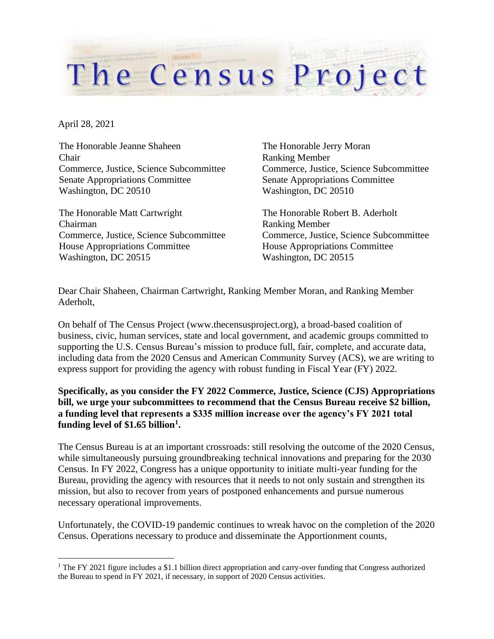April 28, 2021

The Honorable Jeanne Shaheen Chair Commerce, Justice, Science Subcommittee Senate Appropriations Committee Washington, DC 20510

The Honorable Matt Cartwright Chairman Commerce, Justice, Science Subcommittee House Appropriations Committee Washington, DC 20515

The Honorable Jerry Moran Ranking Member Commerce, Justice, Science Subcommittee Senate Appropriations Committee Washington, DC 20510

The Honorable Robert B. Aderholt Ranking Member Commerce, Justice, Science Subcommittee House Appropriations Committee Washington, DC 20515

Dear Chair Shaheen, Chairman Cartwright, Ranking Member Moran, and Ranking Member Aderholt,

On behalf of The Census Project (www.thecensusproject.org), a broad-based coalition of business, civic, human services, state and local government, and academic groups committed to supporting the U.S. Census Bureau's mission to produce full, fair, complete, and accurate data, including data from the 2020 Census and American Community Survey (ACS), we are writing to express support for providing the agency with robust funding in Fiscal Year (FY) 2022.

The Census Project

## **Specifically, as you consider the FY 2022 Commerce, Justice, Science (CJS) Appropriations bill, we urge your subcommittees to recommend that the Census Bureau receive \$2 billion, a funding level that represents a \$335 million increase over the agency's FY 2021 total funding level of \$1.65 billion<sup>1</sup> .**

The Census Bureau is at an important crossroads: still resolving the outcome of the 2020 Census, while simultaneously pursuing groundbreaking technical innovations and preparing for the 2030 Census. In FY 2022, Congress has a unique opportunity to initiate multi-year funding for the Bureau, providing the agency with resources that it needs to not only sustain and strengthen its mission, but also to recover from years of postponed enhancements and pursue numerous necessary operational improvements.

Unfortunately, the COVID-19 pandemic continues to wreak havoc on the completion of the 2020 Census. Operations necessary to produce and disseminate the Apportionment counts,

<sup>1</sup> The FY 2021 figure includes a \$1.1 billion direct appropriation and carry-over funding that Congress authorized the Bureau to spend in FY 2021, if necessary, in support of 2020 Census activities.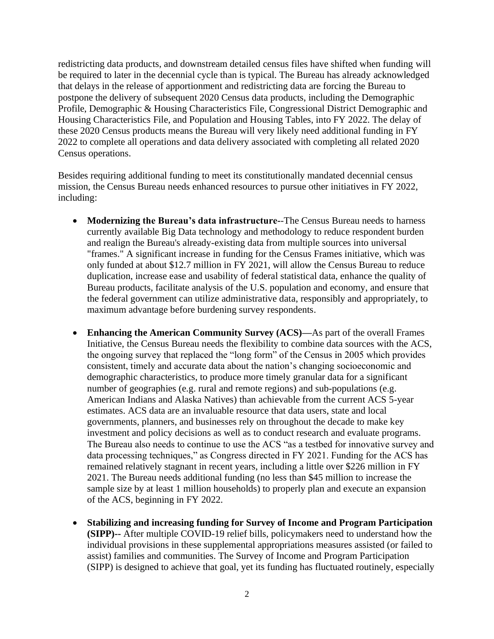redistricting data products, and downstream detailed census files have shifted when funding will be required to later in the decennial cycle than is typical. The Bureau has already acknowledged that delays in the release of apportionment and redistricting data are forcing the Bureau to postpone the delivery of subsequent 2020 Census data products, including the Demographic Profile, Demographic & Housing Characteristics File, Congressional District Demographic and Housing Characteristics File, and Population and Housing Tables, into FY 2022. The delay of these 2020 Census products means the Bureau will very likely need additional funding in FY 2022 to complete all operations and data delivery associated with completing all related 2020 Census operations.

Besides requiring additional funding to meet its constitutionally mandated decennial census mission, the Census Bureau needs enhanced resources to pursue other initiatives in FY 2022, including:

- **Modernizing the Bureau's data infrastructure-**-The Census Bureau needs to harness currently available Big Data technology and methodology to reduce respondent burden and realign the Bureau's already-existing data from multiple sources into universal "frames." A significant increase in funding for the Census Frames initiative, which was only funded at about \$12.7 million in FY 2021, will allow the Census Bureau to reduce duplication, increase ease and usability of federal statistical data, enhance the quality of Bureau products, facilitate analysis of the U.S. population and economy, and ensure that the federal government can utilize administrative data, responsibly and appropriately, to maximum advantage before burdening survey respondents.
- **Enhancing the American Community Survey (ACS)—**As part of the overall Frames Initiative, the Census Bureau needs the flexibility to combine data sources with the ACS, the ongoing survey that replaced the "long form" of the Census in 2005 which provides consistent, timely and accurate data about the nation's changing socioeconomic and demographic characteristics, to produce more timely granular data for a significant number of geographies (e.g. rural and remote regions) and sub-populations (e.g. American Indians and Alaska Natives) than achievable from the current ACS 5-year estimates. ACS data are an invaluable resource that data users, state and local governments, planners, and businesses rely on throughout the decade to make key investment and policy decisions as well as to conduct research and evaluate programs. The Bureau also needs to continue to use the ACS "as a testbed for innovative survey and data processing techniques," as Congress directed in FY 2021. Funding for the ACS has remained relatively stagnant in recent years, including a little over \$226 million in FY 2021. The Bureau needs additional funding (no less than \$45 million to increase the sample size by at least 1 million households) to properly plan and execute an expansion of the ACS, beginning in FY 2022.
- **Stabilizing and increasing funding for Survey of Income and Program Participation (SIPP)--** After multiple COVID-19 relief bills, policymakers need to understand how the individual provisions in these supplemental appropriations measures assisted (or failed to assist) families and communities. The Survey of Income and Program Participation (SIPP) is designed to achieve that goal, yet its funding has fluctuated routinely, especially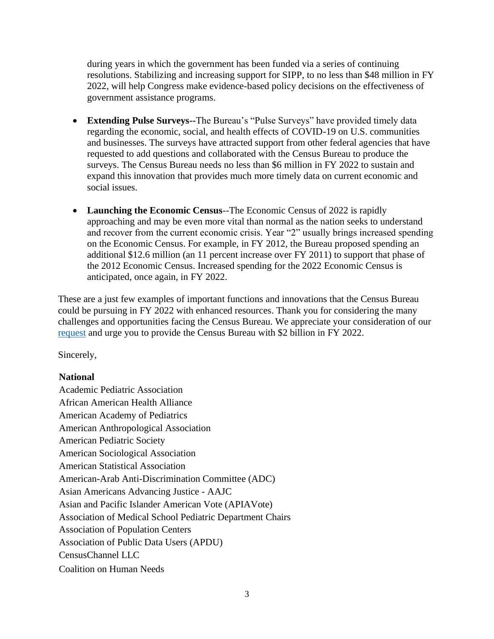during years in which the government has been funded via a series of continuing resolutions. Stabilizing and increasing support for SIPP, to no less than \$48 million in FY 2022, will help Congress make evidence-based policy decisions on the effectiveness of government assistance programs.

- **Extending Pulse Surveys--**The Bureau's "Pulse Surveys" have provided timely data regarding the economic, social, and health effects of COVID-19 on U.S. communities and businesses. The surveys have attracted support from other federal agencies that have requested to add questions and collaborated with the Census Bureau to produce the surveys. The Census Bureau needs no less than \$6 million in FY 2022 to sustain and expand this innovation that provides much more timely data on current economic and social issues.
- **Launching the Economic Census**--The Economic Census of 2022 is rapidly approaching and may be even more vital than normal as the nation seeks to understand and recover from the current economic crisis. Year "2" usually brings increased spending on the Economic Census. For example, in FY 2012, the Bureau proposed spending an additional \$12.6 million (an 11 percent increase over FY 2011) to support that phase of the 2012 Economic Census. Increased spending for the 2022 Economic Census is anticipated, once again, in FY 2022.

These are a just few examples of important functions and innovations that the Census Bureau could be pursuing in FY 2022 with enhanced resources. Thank you for considering the many challenges and opportunities facing the Census Bureau. We appreciate your consideration of our [request](https://censusproject.files.wordpress.com/2021/03/census-project-fiscal-year-2022-funding-recommendation-3-15-21.pdf) and urge you to provide the Census Bureau with \$2 billion in FY 2022.

Sincerely,

## **National**

Academic Pediatric Association African American Health Alliance American Academy of Pediatrics American Anthropological Association American Pediatric Society American Sociological Association American Statistical Association American-Arab Anti-Discrimination Committee (ADC) Asian Americans Advancing Justice - AAJC Asian and Pacific Islander American Vote (APIAVote) Association of Medical School Pediatric Department Chairs Association of Population Centers Association of Public Data Users (APDU) CensusChannel LLC Coalition on Human Needs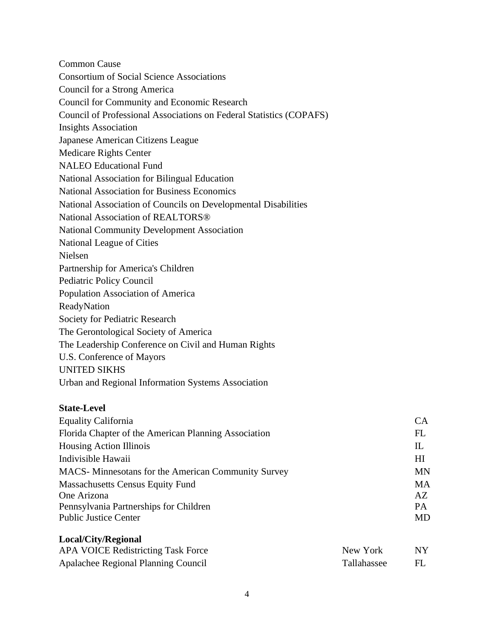Common Cause Consortium of Social Science Associations Council for a Strong America Council for Community and Economic Research Council of Professional Associations on Federal Statistics (COPAFS) Insights Association Japanese American Citizens League Medicare Rights Center NALEO Educational Fund National Association for Bilingual Education National Association for Business Economics National Association of Councils on Developmental Disabilities National Association of REALTORS® National Community Development Association National League of Cities Nielsen Partnership for America's Children Pediatric Policy Council Population Association of America ReadyNation Society for Pediatric Research The Gerontological Society of America The Leadership Conference on Civil and Human Rights U.S. Conference of Mayors UNITED SIKHS Urban and Regional Information Systems Association

## **State-Level**

**Local/City/Regional**

| <b>Equality California</b>                                  | <b>CA</b> |
|-------------------------------------------------------------|-----------|
| Florida Chapter of the American Planning Association        | FL        |
| Housing Action Illinois                                     | Ш         |
| Indivisible Hawaii                                          | HI        |
| <b>MACS</b> - Minnesotans for the American Community Survey | <b>MN</b> |
| <b>Massachusetts Census Equity Fund</b>                     | <b>MA</b> |
| One Arizona                                                 | AZ        |
| Pennsylvania Partnerships for Children                      | <b>PA</b> |
| <b>Public Justice Center</b>                                | MD        |

| LUCAL CIty/Regional                       |             |           |
|-------------------------------------------|-------------|-----------|
| <b>APA VOICE Redistricting Task Force</b> | New York    | <b>NY</b> |
| Apalachee Regional Planning Council       | Tallahassee | FL        |